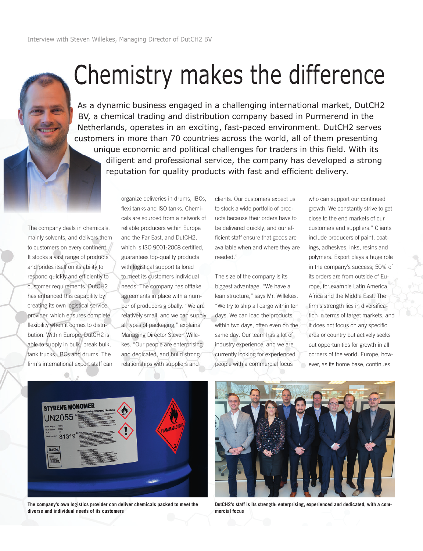## Chemistry makes the difference

As a dynamic business engaged in a challenging international market, DutCH2 BV, a chemical trading and distribution company based in Purmerend in the Netherlands, operates in an exciting, fast-paced environment. DutCH2 serves customers in more than 70 countries across the world, all of them presenting unique economic and political challenges for traders in this field. With its diligent and professional service, the company has developed a strong reputation for quality products with fast and efficient delivery.

The company deals in chemicals, mainly solvents, and delivers them to customers on every continent. It stocks a vast range of products and prides itself on its ability to respond quickly and efficiently to customer requirements. DutCH2 has enhanced this capability by creating its own logistical service provider, which ensures complete flexibility when it comes to distribution. Within Europe, DutCH2 is able to supply in bulk, break bulk, tank trucks, IBCs and drums. The firm's international export staff can organize deliveries in drums, IBCs, flexi tanks and ISO tanks. Chemicals are sourced from a network of reliable producers within Europe and the Far East, and DutCH2, which is ISO 9001:2008 certified, guarantees top-quality products with logistical support tailored to meet its customers individual needs. The company has offtake agreements in place with a number of producers globally. "We are relatively small, and we can supply all types of packaging," explains Managing Director Steven Willekes. "Our people are enterprising and dedicated, and build strong relationships with suppliers and

clients. Our customers expect us to stock a wide portfolio of products because their orders have to be delivered quickly, and our efficient staff ensure that goods are available when and where they are needed."

The size of the company is its biggest advantage. "We have a lean structure," says Mr. Willekes. "We try to ship all cargo within ten days. We can load the products within two days, often even on the same day. Our team has a lot of industry experience, and we are currently looking for experienced people with a commercial focus

who can support our continued growth. We constantly strive to get close to the end markets of our customers and suppliers." Clients include producers of paint, coatings, adhesives, inks, resins and polymers. Export plays a huge role in the company's success; 50% of its orders are from outside of Europe, for example Latin America, Africa and the Middle East. The firm's strength lies in diversification in terms of target markets, and it does not focus on any specific area or country but actively seeks out opportunities for growth in all corners of the world. Europe, however, as its home base, continues



**The company's own logistics provider can deliver chemicals packed to meet the diverse and individual needs of its customers**



**DutCH2's staff is its strength: enterprising, experienced and dedicated, with a commercial focus**